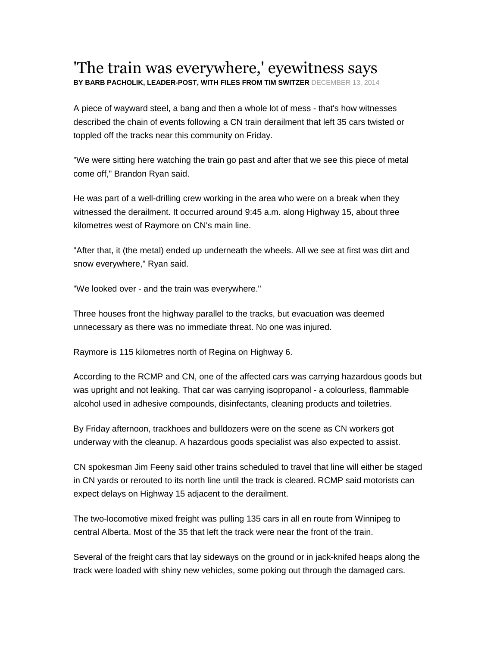## 'The train was everywhere,' eyewitness says **BY BARB PACHOLIK, LEADER-POST, WITH FILES FROM TIM SWITZER** DECEMBER 13, 2014

A piece of wayward steel, a bang and then a whole lot of mess - that's how witnesses described the chain of events following a CN train derailment that left 35 cars twisted or toppled off the tracks near this community on Friday.

"We were sitting here watching the train go past and after that we see this piece of metal come off," Brandon Ryan said.

He was part of a well-drilling crew working in the area who were on a break when they witnessed the derailment. It occurred around 9:45 a.m. along Highway 15, about three kilometres west of Raymore on CN's main line.

"After that, it (the metal) ended up underneath the wheels. All we see at first was dirt and snow everywhere," Ryan said.

"We looked over - and the train was everywhere."

Three houses front the highway parallel to the tracks, but evacuation was deemed unnecessary as there was no immediate threat. No one was injured.

Raymore is 115 kilometres north of Regina on Highway 6.

According to the RCMP and CN, one of the affected cars was carrying hazardous goods but was upright and not leaking. That car was carrying isopropanol - a colourless, flammable alcohol used in adhesive compounds, disinfectants, cleaning products and toiletries.

By Friday afternoon, trackhoes and bulldozers were on the scene as CN workers got underway with the cleanup. A hazardous goods specialist was also expected to assist.

CN spokesman Jim Feeny said other trains scheduled to travel that line will either be staged in CN yards or rerouted to its north line until the track is cleared. RCMP said motorists can expect delays on Highway 15 adjacent to the derailment.

The two-locomotive mixed freight was pulling 135 cars in all en route from Winnipeg to central Alberta. Most of the 35 that left the track were near the front of the train.

Several of the freight cars that lay sideways on the ground or in jack-knifed heaps along the track were loaded with shiny new vehicles, some poking out through the damaged cars.